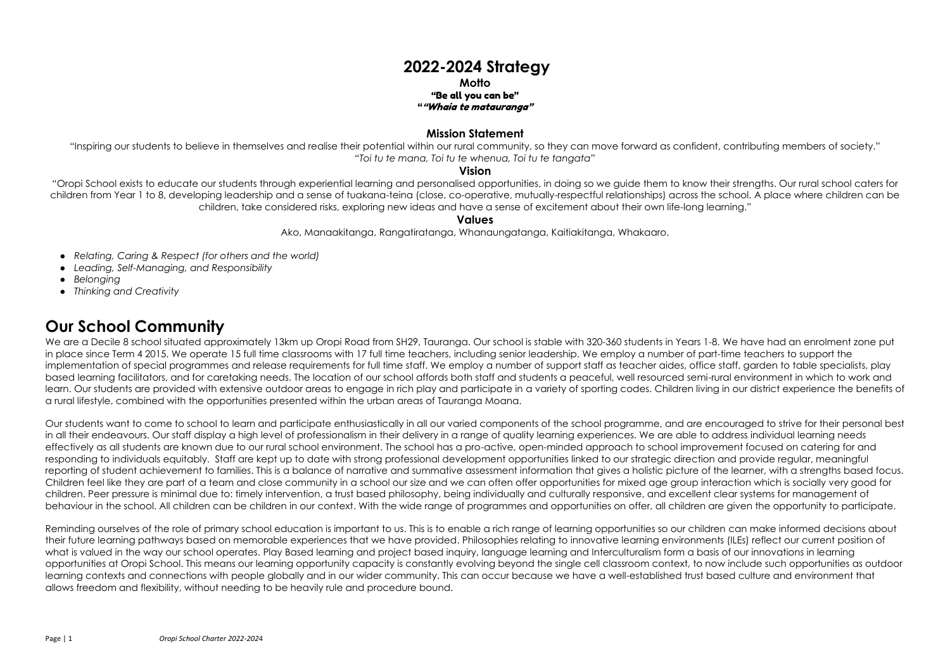# **2022-2024 Strategy**

### **Motto** "Be all you can be" ""Whaia te matauranga"

## **Mission Statement**

"Inspiring our students to believe in themselves and realise their potential within our rural community, so they can move forward as confident, contributing members of society." *"Toi tu te mana, Toi tu te whenua, Toi tu te tangata"*

## **Vision**

"Oropi School exists to educate our students through experiential learning and personalised opportunities, in doing so we guide them to know their strengths. Our rural school caters for children from Year 1 to 8, developing leadership and a sense of tuakana-teina (close, co-operative, mutually-respectful relationships) across the school. A place where children can be children, take considered risks, exploring new ideas and have a sense of excitement about their own life-long learning."

## **Values**

Ako, Manaakitanga, Rangatiratanga, Whanaungatanga, Kaitiakitanga, Whakaaro.

- *Relating, Caring & Respect (for others and the world)*
- *Leading, Self-Managing, and Responsibility*
- *Belonging*
- *Thinking and Creativity*

We are a Decile 8 school situated approximately 13km up Oropi Road from SH29, Tauranga. Our school is stable with 320-360 students in Years 1-8. We have had an enrolment zone put in place since Term 4 2015. We operate 15 full time classrooms with 17 full time teachers, including senior leadership. We employ a number of part-time teachers to support the implementation of special programmes and release requirements for full time staff. We employ a number of support staff as teacher aides, office staff, garden to table specialists, play based learning facilitators, and for caretaking needs. The location of our school affords both staff and students a peaceful, well resourced semi-rural environment in which to work and learn. Our students are provided with extensive outdoor areas to engage in rich play and participate in a variety of sporting codes. Children living in our district experience the benefits of a rural lifestyle, combined with the opportunities presented within the urban areas of Tauranga Moana.

# **Our School Community**

Reminding ourselves of the role of primary school education is important to us. This is to enable a rich range of learning opportunities so our children can make informed decisions about their future learning pathways based on memorable experiences that we have provided. Philosophies relating to innovative learning environments (ILEs) reflect our current position of what is valued in the way our school operates. Play Based learning and project based inquiry, language learning and Interculturalism form a basis of our innovations in learning opportunities at Oropi School. This means our learning opportunity capacity is constantly evolving beyond the single cell classroom context, to now include such opportunities as outdoor learning contexts and connections with people globally and in our wider community. This can occur because we have a well-established trust based culture and environment that allows freedom and flexibility, without needing to be heavily rule and procedure bound.

Our students want to come to school to learn and participate enthusiastically in all our varied components of the school programme, and are encouraged to strive for their personal best in all their endeavours. Our staff display a high level of professionalism in their delivery in a range of quality learning experiences. We are able to address individual learning needs effectively as all students are known due to our rural school environment. The school has a pro-active, open-minded approach to school improvement focused on catering for and responding to individuals equitably. Staff are kept up to date with strong professional development opportunities linked to our strategic direction and provide regular, meaningful reporting of student achievement to families. This is a balance of narrative and summative assessment information that gives a holistic picture of the learner, with a strengths based focus. Children feel like they are part of a team and close community in a school our size and we can often offer opportunities for mixed age group interaction which is socially very good for children. Peer pressure is minimal due to: timely intervention, a trust based philosophy, being individually and culturally responsive, and excellent clear systems for management of behaviour in the school. All children can be children in our context. With the wide range of programmes and opportunities on offer, all children are given the opportunity to participate.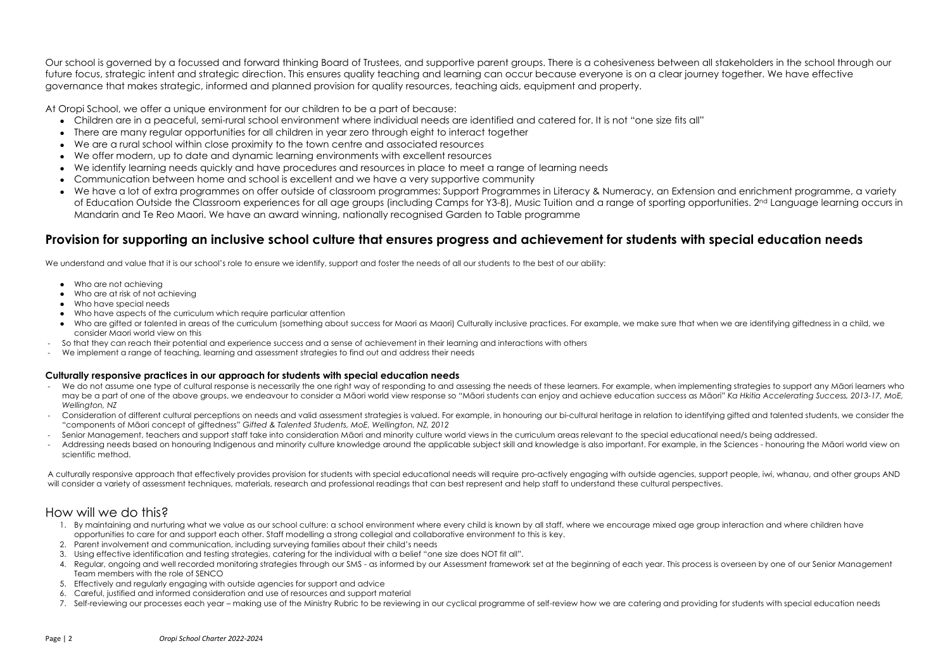Our school is governed by a focussed and forward thinking Board of Trustees, and supportive parent groups. There is a cohesiveness between all stakeholders in the school through our future focus, strategic intent and strategic direction. This ensures quality teaching and learning can occur because everyone is on a clear journey together. We have effective governance that makes strategic, informed and planned provision for quality resources, teaching aids, equipment and property.

At Oropi School, we offer a unique environment for our children to be a part of because:

- Children are in a peaceful, semi-rural school environment where individual needs are identified and catered for. It is not "one size fits all"
- There are many regular opportunities for all children in year zero through eight to interact together
- We are a rural school within close proximity to the town centre and associated resources
- We offer modern, up to date and dynamic learning environments with excellent resources
- We identify learning needs quickly and have procedures and resources in place to meet a range of learning needs
- Communication between home and school is excellent and we have a very supportive community
- We have a lot of extra programmes on offer outside of classroom programmes: Support Programmes in Literacy & Numeracy, an Extension and enrichment programme, a variety of Education Outside the Classroom experiences for all age groups (including Camps for Y3-8), Music Tuition and a range of sporting opportunities. 2<sup>nd</sup> Language learning occurs in Mandarin and Te Reo Maori. We have an award winning, nationally recognised Garden to Table programme

## **Provision for supporting an inclusive school culture that ensures progress and achievement for students with special education needs**

We understand and value that it is our school's role to ensure we identify, support and foster the needs of all our students to the best of our ability:

- We do not assume one type of cultural response is necessarily the one right way of responding to and assessing the needs of these learners. For example, when implementing strategies to support any Māori learners who may be a part of one of the above groups, we endeavour to consider a Māori world view response so "Māori students can enjoy and achieve education success as Māori" *Ka Hkitia Accelerating Success, 2013-17, MoE, Wellington, NZ*
- Consideration of different cultural perceptions on needs and valid assessment strategies is valued. For example, in honouring our bi-cultural heritage in relation to identifying gifted and talented students, we consider th "components of Māori concept of giftedness" *Gifted & Talented Students, MoE, Wellington, NZ, 2012*
- Senior Management, teachers and support staff take into consideration Māori and minority culture world views in the curriculum areas relevant to the special educational need/s being addressed.
- Addressing needs based on honouring Indigenous and minority culture knowledge around the applicable subject skill and knowledge is also important. For example, in the Sciences honouring the Māori world view on scientific method.

A culturally responsive approach that effectively provides provision for students with special educational needs will require pro-actively engaging with outside agencies, support people, iwi, whanau, and other groups AND will consider a variety of assessment techniques, materials, research and professional readings that can best represent and help staff to understand these cultural perspectives.

- Who are not achieving
- Who are at risk of not achieving
- Who have special needs
- Who have aspects of the curriculum which require particular attention
- Who are gifted or talented in areas of the curriculum (something about success for Maori) as Maori) Culturally inclusive practices. For example, we make sure that when we are identifying giftedness in a child, we consider Maori world view on this
- So that they can reach their potential and experience success and a sense of achievement in their learning and interactions with others
- We implement a range of teaching, learning and assessment strategies to find out and address their needs

### **Culturally responsive practices in our approach for students with special education needs**

## How will we do this?

- 1. By maintaining and nurturing what we value as our school culture: a school environment where every child is known by all staff, where we encourage mixed age group interaction and where children have opportunities to care for and support each other. Staff modelling a strong collegial and collaborative environment to this is key.
- 2. Parent involvement and communication, including surveying families about their child's needs
- 3. Using effective identification and testing strategies, catering for the individual with a belief "one size does NOT fit all".
- 4. Regular, ongoing and well recorded monitoring strategies through our SMS as informed by our Assessment framework set at the beginning of each year. This process is overseen by one of our Senior Management Team members with the role of SENCO
- 5. Effectively and regularly engaging with outside agencies for support and advice
- 6. Careful, justified and informed consideration and use of resources and support material
- 7. Self-reviewing our processes each year making use of the Ministry Rubric to be reviewing in our cyclical programme of self-review how we are catering and providing for students with special education needs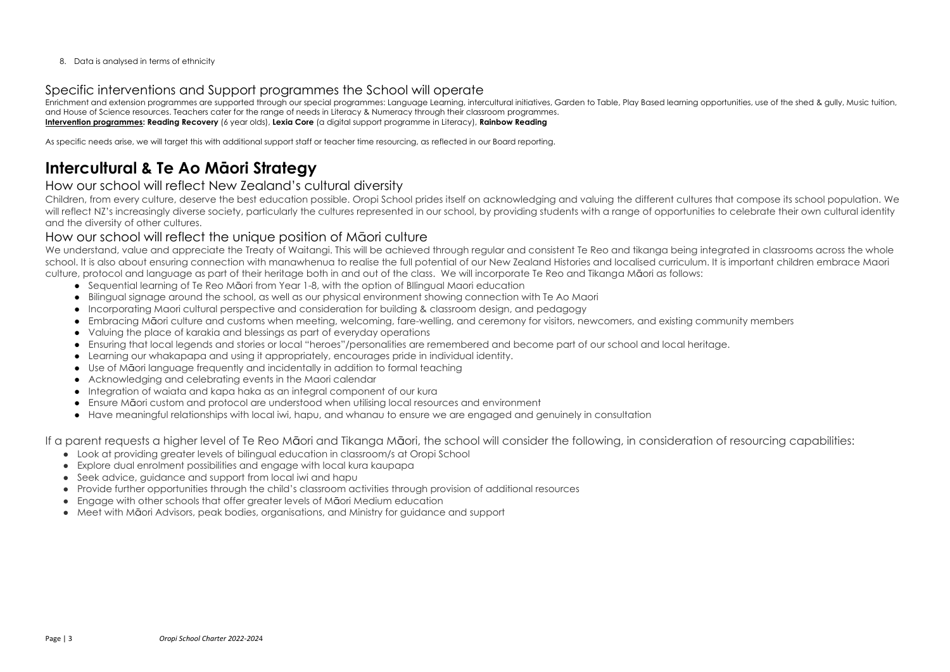8. Data is analysed in terms of ethnicity

## Specific interventions and Support programmes the School will operate

Enrichment and extension programmes are supported through our special programmes: Language Learning, intercultural initiatives, Garden to Table, Play Based learning opportunities, use of the shed & gully, Music tuition, and House of Science resources. Teachers cater for the range of needs in Literacy & Numeracy through their classroom programmes. **Intervention programmes: Reading Recovery** (6 year olds), **Lexia Core** (a digital support programme in Literacy), **Rainbow Reading**

As specific needs arise, we will target this with additional support staff or teacher time resourcing, as reflected in our Board reporting.

# **Intercultural & Te Ao Māori Strategy**

## How our school will reflect New Zealand's cultural diversity

We understand, value and appreciate the Treaty of Waitangi. This will be achieved through regular and consistent Te Reo and tikanga being integrated in classrooms across the whole school. It is also about ensuring connection with manawhenua to realise the full potential of our New Zealand Histories and localised curriculum. It is important children embrace Maori culture, protocol and language as part of their heritage both in and out of the class. We will incorporate Te Reo and Tikanga Māori as follows:

Children, from every culture, deserve the best education possible. Oropi School prides itself on acknowledging and valuing the different cultures that compose its school population. We will reflect NZ's increasingly diverse society, particularly the cultures represented in our school, by providing students with a range of opportunities to celebrate their own cultural identity and the diversity of other cultures.

## How our school will reflect the unique position of Māori culture

- Sequential learning of Te Reo Māori from Year 1-8, with the option of Bllingual Maori education
- Bilingual signage around the school, as well as our physical environment showing connection with Te Ao Maori
- Incorporating Maori cultural perspective and consideration for building & classroom design, and pedagogy
- Embracing Māori culture and customs when meeting, welcoming, fare-welling, and ceremony for visitors, newcomers, and existing community members
- Valuing the place of karakia and blessings as part of everyday operations
- Ensuring that local legends and stories or local "heroes"/personalities are remembered and become part of our school and local heritage.
- Learning our whakapapa and using it appropriately, encourages pride in individual identity.
- Use of Māori language frequently and incidentally in addition to formal teaching
- Acknowledging and celebrating events in the Maori calendar
- Integration of waiata and kapa haka as an integral component of our kura
- Ensure Māori custom and protocol are understood when utilising local resources and environment
- Have meaningful relationships with local iwi, hapu, and whanau to ensure we are engaged and genuinely in consultation

If a parent requests a higher level of Te Reo Māori and Tikanga Māori, the school will consider the following, in consideration of resourcing capabilities:

- Look at providing greater levels of bilingual education in classroom/s at Oropi School
- Explore dual enrolment possibilities and engage with local kura kaupapa
- Seek advice, guidance and support from local iwi and hapu
- Provide further opportunities through the child's classroom activities through provision of additional resources
- Engage with other schools that offer greater levels of Māori Medium education
- Meet with Māori Advisors, peak bodies, organisations, and Ministry for guidance and support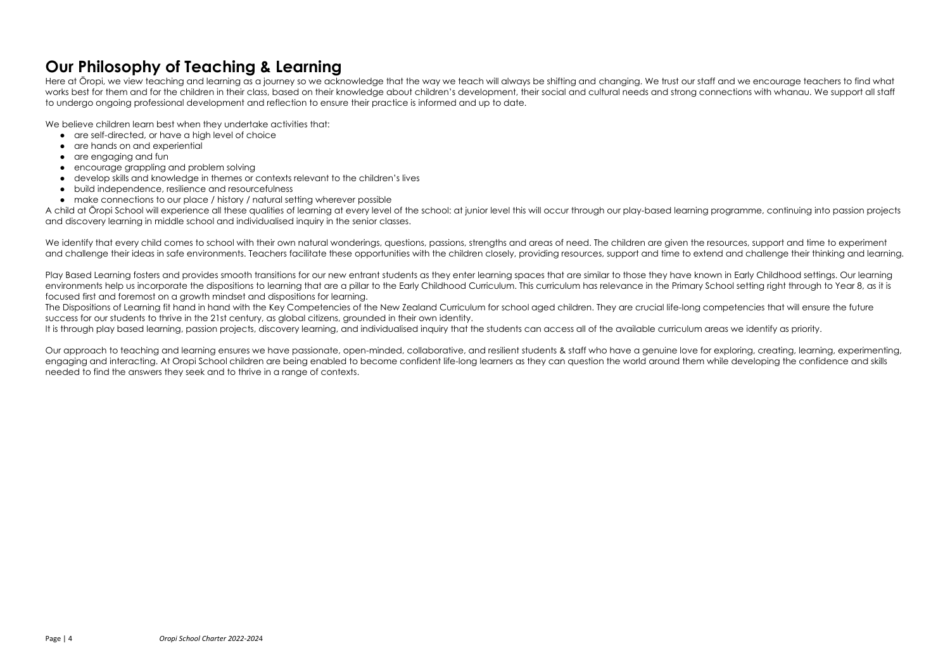- 
- 
- 
- 
- 

# **Our Philosophy of Teaching & Learning**

Here at Ōropi, we view teaching and learning as a journey so we acknowledge that the way we teach will always be shifting and changing. We trust our staff and we encourage teachers to find what works best for them and for the children in their class, based on their knowledge about children's development, their social and cultural needs and strong connections with whanau. We support all staff to undergo ongoing professional development and reflection to ensure their practice is informed and up to date.

We believe children learn best when they undertake activities that:

- are self-directed, or have a high level of choice
- are hands on and experiential
- are engaging and fun
- encourage grappling and problem solving
- develop skills and knowledge in themes or contexts relevant to the children's lives
- build independence, resilience and resourcefulness
- make connections to our place / history / natural setting wherever possible

A child at Ōropi School will experience all these qualities of learning at every level of the school: at junior level this will occur through our play-based learning programme, continuing into passion projects and discovery learning in middle school and individualised inquiry in the senior classes.

We identify that every child comes to school with their own natural wonderings, questions, passions, strengths and areas of need. The children are given the resources, support and time to experiment and challenge their ideas in safe environments. Teachers facilitate these opportunities with the children closely, providing resources, support and time to extend and challenge their thinking and learning.

The Dispositions of Learning fit hand in hand with the Key Competencies of the New Zealand Curriculum for school aged children. They are crucial life-long competencies that will ensure the future success for our students to thrive in the 21st century, as global citizens, grounded in their own identity.

Play Based Learning fosters and provides smooth transitions for our new entrant students as they enter learning spaces that are similar to those they have known in Early Childhood settings. Our learning environments help us incorporate the dispositions to learning that are a pillar to the Early Childhood Curriculum. This curriculum has relevance in the Primary School setting right through to Year 8, as it is focused first and foremost on a growth mindset and dispositions for learning.

It is through play based learning, passion projects, discovery learning, and individualised inquiry that the students can access all of the available curriculum areas we identify as priority.

Our approach to teaching and learning ensures we have passionate, open-minded, collaborative, and resilient students & staff who have a genuine love for exploring, creating, learning, experimenting, engaging and interacting. At Oropi School children are being enabled to become confident life-long learners as they can question the world around them while developing the confidence and skills needed to find the answers they seek and to thrive in a range of contexts.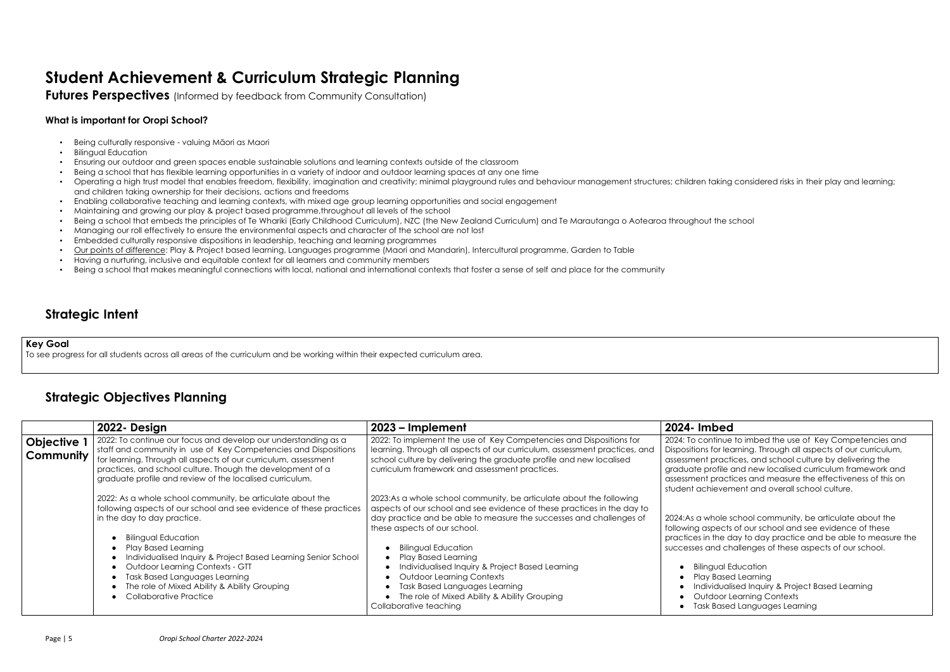nue to imbed the use of Key Competencies and learning. Through all aspects of our curriculum, actices, and school culture by delivering the file and new localised curriculum framework and actices and measure the effectiveness of this on vement and overall school culture.

ble school community, be articulate about the ects of our school and see evidence of these e day to day practice and be able to measure the challenges of these aspects of our school.

al Education ased Learning ualised Inquiry & Project Based Learning or Learning Contexts ased Languages Learning

# **Student Achievement & Curriculum Strategic Planning**

**Futures Perspectives** (Informed by feedback from Community Consultation)

## **What is important for Oropi School?**

- Being culturally responsive valuing Māori as Maori
- Bilingual Education
- Ensuring our outdoor and green spaces enable sustainable solutions and learning contexts outside of the classroom
- Being a school that has flexible learning opportunities in a variety of indoor and outdoor learning spaces at any one time
- Operating a high trust model that enables freedom, flexibility, imagination and creativity; minimal playground rules and behaviour management structures; children taking considered risks in their play and learning; and children taking ownership for their decisions, actions and freedoms
- Enabling collaborative teaching and learning contexts, with mixed age group learning opportunities and social engagement
- Maintaining and growing our play & project based programme,throughout all levels of the school
- Being a school that embeds the principles of Te Whariki (Early Childhood Curriculum), NZC (the New Zealand Curriculum) and Te Marautanga o Aotearoa throughout the school
- Managing our roll effectively to ensure the environmental aspects and character of the school are not lost
- Embedded culturally responsive dispositions in leadership, teaching and learning programmes
- Our points of difference: Play & Project based learning, Languages programme (Maori and Mandarin), Intercultural programme, Garden to Table
- Having a nurturing, inclusive and equitable context for all learners and community members
- Being a school that makes meaningful connections with local, national and international contexts that foster a sense of self and place for the community

## **Strategic Intent**

### **Key Goal**

To see progress for all students across all areas of the curriculum and be working within their expected curriculum area.

## **Strategic Objectives Planning**

| 2023 – Implement                                                                                                                                                                                                                                                                                                                                                                                                                          | 2024- Imbed                                                                                                                                                   |
|-------------------------------------------------------------------------------------------------------------------------------------------------------------------------------------------------------------------------------------------------------------------------------------------------------------------------------------------------------------------------------------------------------------------------------------------|---------------------------------------------------------------------------------------------------------------------------------------------------------------|
| 2022: To implement the use of Key Competencies and Dispositions for<br>learning. Through all aspects of our curriculum, assessment practices, and<br>school culture by delivering the graduate profile and new localised<br>curriculum framework and assessment practices.                                                                                                                                                                | 2024: To continue t<br>Dispositions for lear<br>assessment practic<br>graduate profile a<br>assessment practic<br>student achievem                            |
| 2023:As a whole school community, be articulate about the following<br>aspects of our school and see evidence of these practices in the day to<br>day practice and be able to measure the successes and challenges of<br>these aspects of our school.<br><b>Bilingual Education</b><br><b>Play Based Learning</b><br>Individualised Inquiry & Project Based Learning<br><b>Outdoor Learning Contexts</b><br>Task Based Languages Learning | 2024:As a whole so<br>following aspects<br>practices in the do<br>successes and cho<br><b>Bilingual Ec</b><br><b>Play Based</b><br>Individualis<br>Outdoor Le |
|                                                                                                                                                                                                                                                                                                                                                                                                                                           | The role of Mixed Ability & Ability Grouping                                                                                                                  |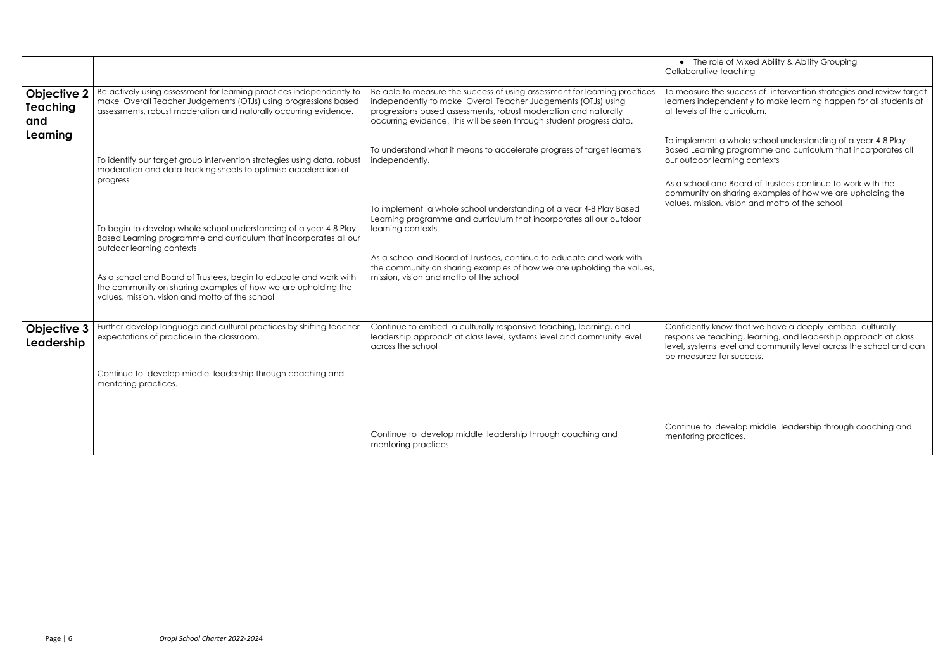ble of Mixed Ability & Ability Grouping teaching

he success of intervention strategies and review target pendently to make learning happen for all students at ne curriculum.

a whole school understanding of a year 4-8 Play ing programme and curriculum that incorporates all learning contexts

and Board of Trustees continue to work with the on sharing examples of how we are upholding the on, vision and motto of the school

know that we have a deeply embed culturally eaching, learning, and leadership approach at class s level and community level across the school and can for success.

develop middle leadership through coaching and ractices.

|                                              |                                                                                                                                                                                                             |                                                                                                                                                                                                                                                                                       | $\bullet$ The ro<br>Collaborative                               |
|----------------------------------------------|-------------------------------------------------------------------------------------------------------------------------------------------------------------------------------------------------------------|---------------------------------------------------------------------------------------------------------------------------------------------------------------------------------------------------------------------------------------------------------------------------------------|-----------------------------------------------------------------|
| <b>Objective 2</b><br><b>Teaching</b><br>and | Be actively using assessment for learning practices independently to<br>make Overall Teacher Judgements (OTJs) using progressions based<br>assessments, robust moderation and naturally occurring evidence. | Be able to measure the success of using assessment for learning practices<br>independently to make Overall Teacher Judgements (OTJs) using<br>progressions based assessments, robust moderation and naturally<br>occurring evidence. This will be seen through student progress data. | To measure th<br>learners inder<br>all levels of th             |
| Learning                                     | To identify our target group intervention strategies using data, robust<br>moderation and data tracking sheets to optimise acceleration of<br>progress                                                      | To understand what it means to accelerate progress of target learners<br>independently.                                                                                                                                                                                               | To implement<br><b>Based Learnir</b><br>our outdoor le          |
|                                              |                                                                                                                                                                                                             | To implement a whole school understanding of a year 4-8 Play Based                                                                                                                                                                                                                    | As a school a<br>community of<br>values, missio                 |
|                                              | To begin to develop whole school understanding of a year 4-8 Play<br>Based Learning programme and curriculum that incorporates all our<br>outdoor learning contexts                                         | Learning programme and curriculum that incorporates all our outdoor<br>learning contexts                                                                                                                                                                                              |                                                                 |
|                                              | As a school and Board of Trustees, begin to educate and work with<br>the community on sharing examples of how we are upholding the<br>values, mission, vision and motto of the school                       | As a school and Board of Trustees, continue to educate and work with<br>the community on sharing examples of how we are upholding the values,<br>mission, vision and motto of the school                                                                                              |                                                                 |
| <b>Objective 3</b><br>Leadership             | Further develop language and cultural practices by shifting teacher<br>expectations of practice in the classroom.                                                                                           | Continue to embed a culturally responsive teaching, learning, and<br>leadership approach at class level, systems level and community level<br>across the school                                                                                                                       | Confidently k<br>responsive te<br>level, systems<br>be measured |
|                                              | Continue to develop middle leadership through coaching and<br>mentoring practices.                                                                                                                          |                                                                                                                                                                                                                                                                                       |                                                                 |
|                                              |                                                                                                                                                                                                             | Continue to develop middle leadership through coaching and<br>mentoring practices.                                                                                                                                                                                                    | Continue to a<br>mentoring pro                                  |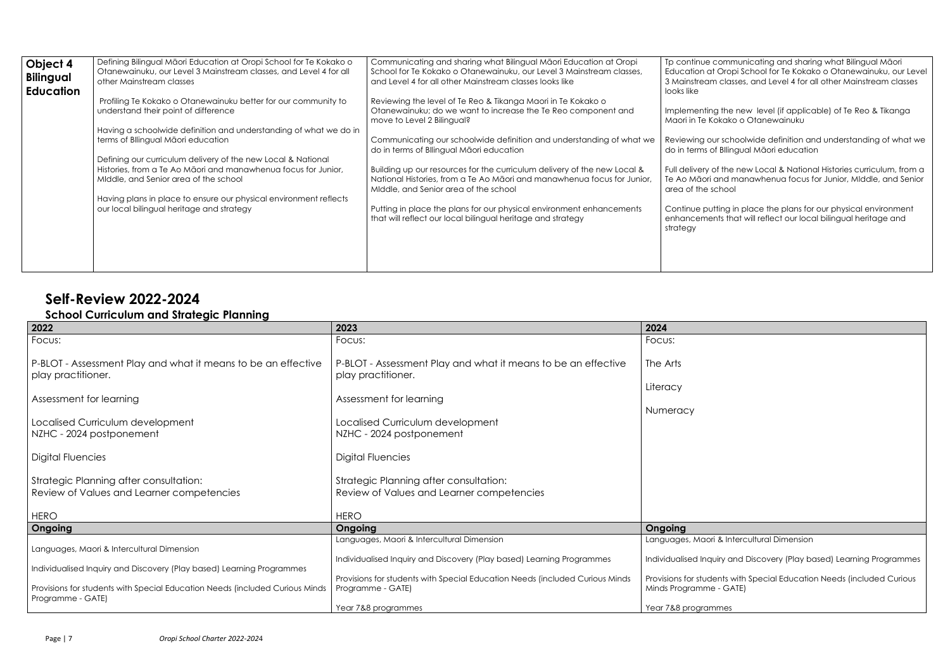communicating and sharing what Bilingual Māori Oropi School for Te Kokako o Otanewainuku, our Level classes, and Level 4 for all other Mainstream classes

If the new level (if applicable) of Te Reo & Tikanga ,<br>»kako o Otanewainuku

r schoolwide definition and understanding of what we BIlingual Māori education

f the new Local & National Histories curriculum, from a and manawhenua focus for Junior, MIddle, and Senior hool<sup>.</sup>

ting in place the plans for our physical environment its that will reflect our local bilingual heritage and

i & Intercultural Dimension

Jiry and Discovery (Play based) Learning Programmes

ents with Special Education Needs (included Curious  $\cdot$  - GATE)

ames

| Object 4<br><b>Bilingual</b><br><b>Education</b> | Defining Bilingual Māori Education at Oropi School for Te Kokako o<br>Otanewainuku, our Level 3 Mainstream classes, and Level 4 for all<br>other Mainstream classes     | Communicating and sharing what Bilingual Maori Education at Oropi<br>School for Te Kokako o Otanewainuku, our Level 3 Mainstream classes,<br>and Level 4 for all other Mainstream classes looks like | Tp continue c<br>Education at (<br>3 Mainstream<br>looks like |
|--------------------------------------------------|-------------------------------------------------------------------------------------------------------------------------------------------------------------------------|------------------------------------------------------------------------------------------------------------------------------------------------------------------------------------------------------|---------------------------------------------------------------|
|                                                  | Profiling Te Kokako o Otanewainuku better for our community to<br>understand their point of difference                                                                  | Reviewing the level of Te Reo & Tikanga Maori in Te Kokako o<br>Otanewainuku; do we want to increase the Te Reo component and<br>move to Level 2 Bilingual?                                          | Implementing<br>Maori in Te Ko                                |
|                                                  | Having a schoolwide definition and understanding of what we do in<br>terms of Bllingual Māori education                                                                 | Communicating our schoolwide definition and understanding of what we<br>do in terms of Bllingual Māori education                                                                                     | Reviewing our<br>do in terms of                               |
|                                                  | Defining our curriculum delivery of the new Local & National<br>Histories, from a Te Ao Māori and manawhenua focus for Junior,<br>Middle, and Senior area of the school | Building up our resources for the curriculum delivery of the new Local &<br>National Histories, from a Te Ao Māori and manawhenua focus for Junior,<br>Middle, and Senior area of the school         | Full delivery of<br>Te Ao Māori a<br>area of the sc           |
|                                                  | Having plans in place to ensure our physical environment reflects<br>our local bilingual heritage and strategy                                                          | Putting in place the plans for our physical environment enhancements<br>that will reflect our local bilingual heritage and strategy                                                                  | Continue putt<br>enhancemen<br>strategy                       |
|                                                  |                                                                                                                                                                         |                                                                                                                                                                                                      |                                                               |

## **Self-Review 2022-2024**

## **School Curriculum and Strategic Planning**

| 2022<br>2023                                                                                                                                                             |                                                                                                                                                                          |                                         |
|--------------------------------------------------------------------------------------------------------------------------------------------------------------------------|--------------------------------------------------------------------------------------------------------------------------------------------------------------------------|-----------------------------------------|
| Focus:                                                                                                                                                                   | Focus:                                                                                                                                                                   | Focus:                                  |
| P-BLOT - Assessment Play and what it means to be an effective<br>play practitioner.                                                                                      | P-BLOT - Assessment Play and what it means to be an effective<br>play practitioner.                                                                                      | The Arts<br>Literacy                    |
| Assessment for learning                                                                                                                                                  | Assessment for learning                                                                                                                                                  |                                         |
| Localised Curriculum development<br>NZHC - 2024 postponement<br>Digital Fluencies<br>Strategic Planning after consultation:<br>Review of Values and Learner competencies | Localised Curriculum development<br>NZHC - 2024 postponement<br>Digital Fluencies<br>Strategic Planning after consultation:<br>Review of Values and Learner competencies | Numeracy                                |
| <b>HERO</b>                                                                                                                                                              | <b>HERO</b>                                                                                                                                                              |                                         |
| Ongoing                                                                                                                                                                  | Ongoing<br>Languages, Maori & Intercultural Dimension                                                                                                                    | Ongoing<br>Languages, Maori             |
| Languages, Maori & Intercultural Dimension<br>Individualised Inquiry and Discovery (Play based) Learning Programmes                                                      | Individualised Inquiry and Discovery (Play based) Learning Programmes                                                                                                    | Individualised Inqu                     |
| Provisions for students with Special Education Needs (included Curious Minds)<br>Programme - GATE)                                                                       | Provisions for students with Special Education Needs (included Curious Minds<br>Programme - GATE)                                                                        | Provisions for stude<br>Minds Programme |
|                                                                                                                                                                          | Year 7&8 programmes                                                                                                                                                      | Year 7&8 program                        |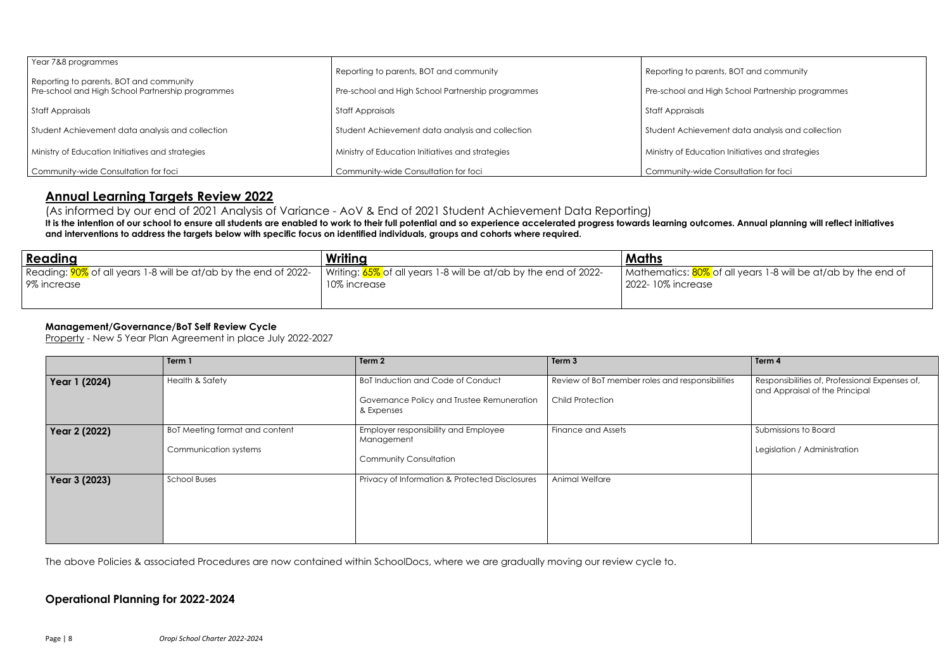**hts, BOT and community** 

th School Partnership programmes

ent data analysis and collection

on Initiatives and strategies

Consultation for foci

## of all years 1-8 will be at/ab by the end of

| Year 7&8 programmes<br>Reporting to parents, BOT and community | Reporting to parents, BOT and community           | Reporting to paren   |
|----------------------------------------------------------------|---------------------------------------------------|----------------------|
| Pre-school and High School Partnership programmes              | Pre-school and High School Partnership programmes | Pre-school and Hig   |
| <b>Staff Appraisals</b>                                        | <b>Staff Appraisals</b>                           | Staff Appraisals     |
| Student Achievement data analysis and collection               | Student Achievement data analysis and collection  | Student Achievem     |
| Ministry of Education Initiatives and strategies               | Ministry of Education Initiatives and strategies  | Ministry of Educatio |
| Community-wide Consultation for foci                           | Community-wide Consultation for foci              | Community-wide C     |

## **Annual Learning Targets Review 2022**

(As informed by our end of 2021 Analysis of Variance - AoV & End of 2021 Student Achievement Data Reporting) **It is the intention of our school to ensure all students are enabled to work to their full potential and so experience accelerated progress towards learning outcomes. Annual planning will reflect initiatives and interventions to address the targets below with specific focus on identified individuals, groups and cohorts where required.**

| <u>  Reading</u>                                                                            | Writing                                                                         | <b>Maths</b>                                          |
|---------------------------------------------------------------------------------------------|---------------------------------------------------------------------------------|-------------------------------------------------------|
| Reading: <mark>90%</mark> of all years 1-8 will be at/ab by the end of 2022-<br>9% increase | Writing: 65% of all years 1-8 will be at/ab by the end of 2022-<br>10% increase | Mathematics: <mark>80% </mark> o<br>2022-10% increase |
|                                                                                             |                                                                                 |                                                       |

## **Management/Governance/BoT Self Review Cycle**

Property - New 5 Year Plan Agreement in place July 2022-2027

|               | Term 1                         | Term 2                                                   | Term 3                                          | Term 4                                                                           |
|---------------|--------------------------------|----------------------------------------------------------|-------------------------------------------------|----------------------------------------------------------------------------------|
| Year 1 (2024) | <b>Health &amp; Safety</b>     | <b>BoT Induction and Code of Conduct</b>                 | Review of BoT member roles and responsibilities | Responsibilities of, Professional Expenses of,<br>and Appraisal of the Principal |
|               |                                | Governance Policy and Trustee Remuneration<br>& Expenses | <b>Child Protection</b>                         |                                                                                  |
| Year 2 (2022) | BoT Meeting format and content | Employer responsibility and Employee<br>Management       | <b>Finance and Assets</b>                       | Submissions to Board                                                             |
|               | Communication systems          | <b>Community Consultation</b>                            |                                                 | Legislation / Administration                                                     |
| Year 3 (2023) | <b>School Buses</b>            | Privacy of Information & Protected Disclosures           | Animal Welfare                                  |                                                                                  |
|               |                                |                                                          |                                                 |                                                                                  |
|               |                                |                                                          |                                                 |                                                                                  |

The above Policies & associated Procedures are now contained within SchoolDocs, where we are gradually moving our review cycle to.

## **Operational Planning for 2022-2024**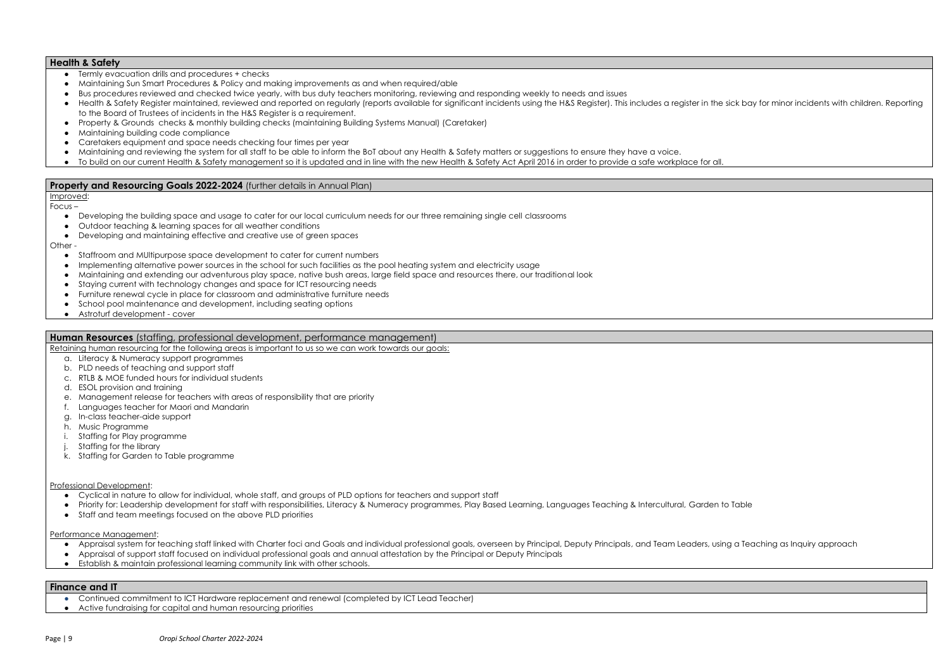#### **Health & Safety**

- Termly evacuation drills and procedures + checks
- Maintaining Sun Smart Procedures & Policy and making improvements as and when required/able
- Bus procedures reviewed and checked twice yearly, with bus duty teachers monitoring, reviewing and responding weekly to needs and issues
- Health & Safety Register maintained, reviewed and reported on regularly (reports available for significant incidents using the H&S Register). This includes a register in the sick bay for minor incidents with children. Re to the Board of Trustees of incidents in the H&S Register is a requirement.
- Property & Grounds checks & monthly building checks (maintaining Building Systems Manual) (Caretaker)
- Maintaining building code compliance
- Caretakers equipment and space needs checking four times per year
- Maintaining and reviewing the system for all staff to be able to inform the BoT about any Health & Safety matters or suggestions to ensure they have a voice.
- To build on our current Health & Safety management so it is updated and in line with the new Health & Safety Act April 2016 in order to provide a safe workplace for all.

#### **Property and Resourcing Goals 2022-2024** (further details in Annual Plan)

- Staffroom and MUltipurpose space development to cater for current numbers
- Implementing alternative power sources in the school for such facilities as the pool heating system and electricity usage
- Maintaining and extending our adventurous play space, native bush areas, large field space and resources there, our traditional look
- Staying current with technology changes and space for ICT resourcing needs
- Furniture renewal cycle in place for classroom and administrative furniture needs
- School pool maintenance and development, including seating options
- Astroturf development cover

Improved: Focus –

- Developing the building space and usage to cater for our local curriculum needs for our three remaining single cell classrooms
- Outdoor teaching & learning spaces for all weather conditions
- Developing and maintaining effective and creative use of green spaces

Other -

#### **Human Resources** (staffing, professional development, performance management)

Retaining human resourcing for the following areas is important to us so we can work towards our goals:

- a. Literacy & Numeracy support programmes
- b. PLD needs of teaching and support staff
- c. RTLB & MOE funded hours for individual students
- d. ESOL provision and training
- e. Management release for teachers with areas of responsibility that are priority
- f. Languages teacher for Maori and Mandarin
- g. In-class teacher-aide support
- h. Music Programme
- i. Staffing for Play programme
- j. Staffing for the library
- k. Staffing for Garden to Table programme

#### Professional Development:

- Cyclical in nature to allow for individual, whole staff, and groups of PLD options for teachers and support staff
- Priority for: Leadership development for staff with responsibilities, Literacy & Numeracy programmes, Play Based Learning, Languages Teaching & Intercultural, Garden to Table
- Staff and team meetings focused on the above PLD priorities

#### Performance Management:

- Appraisal system for teaching staff linked with Charter foci and Goals and individual professional goals, overseen by Principal, Deputy Principals, and Team Leaders, using a Teaching as Inquiry approach
- Appraisal of support staff focused on individual professional goals and annual attestation by the Principal or Deputy Principals
- Establish & maintain professional learning community link with other schools.

### **Finance and IT**

- Continued commitment to ICT Hardware replacement and renewal (completed by ICT Lead Teacher)
- Active fundraising for capital and human resourcing priorities